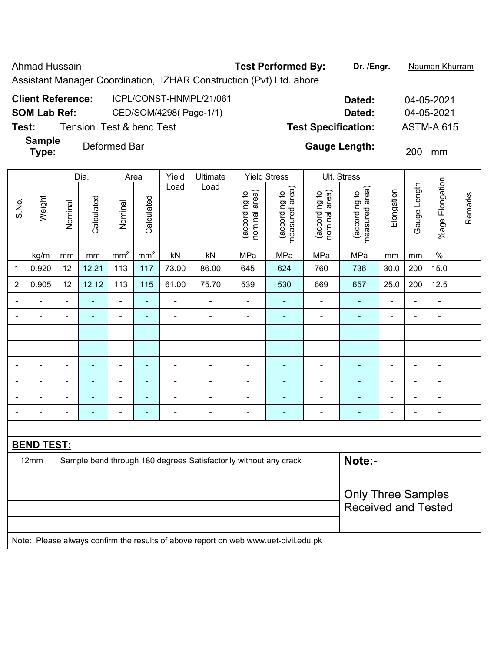Ahmad Hussain **Test Performed By:** Dr. /Engr. **Nauman Khurram** 

Assistant Manager Coordination, IZHAR Construction (Pvt) Ltd. ahore

| <b>Client Reference:</b> | ICPL/CONST-HNMPL/21/061  | Dated:                     | 04-05-2021        |
|--------------------------|--------------------------|----------------------------|-------------------|
| SOM Lab Ref:             | CED/SOM/4298(Page-1/1)   | Dated:                     | 04-05-2021        |
| Test:                    | Tension Test & bend Test | <b>Test Specification:</b> | <b>ASTM-A 615</b> |

**Sample Type:** Deformed Bar **Cauge Length:** 200 mm

|                          |                   |                              | Dia.                                                                       |                | Area            | Yield          | Ultimate                                                                            |                                | <b>Yield Stress</b>             |                                | <b>Ult. Stress</b>              |                |                |                              |         |
|--------------------------|-------------------|------------------------------|----------------------------------------------------------------------------|----------------|-----------------|----------------|-------------------------------------------------------------------------------------|--------------------------------|---------------------------------|--------------------------------|---------------------------------|----------------|----------------|------------------------------|---------|
| S.No.                    | Weight            | Nominal                      | Calculated                                                                 | Nominal        | Calculated      | Load           | Load                                                                                | nominal area)<br>(according to | measured area)<br>(according to | nominal area)<br>(according to | measured area)<br>(according to | Elongation     | Gauge Length   | %age Elongation              | Remarks |
|                          | kg/m              | mm                           | mm                                                                         | $\rm mm^2$     | mm <sup>2</sup> | kN             | kN                                                                                  | MPa                            | MPa                             | MPa                            | MPa                             | mm             | $\,mm$         | $\frac{1}{2}$                |         |
| 1                        | 0.920             | 12                           | 12.21                                                                      | 113            | 117             | 73.00          | 86.00                                                                               | 645                            | 624                             | 760                            | 736                             | 30.0           | 200            | 15.0                         |         |
| $\overline{2}$           | 0.905             | 12                           | 12.12                                                                      | 113            | 115             | 61.00          | 75.70                                                                               | 539                            | 530                             | 669                            | 657                             | 25.0           | 200            | 12.5                         |         |
|                          |                   | $\blacksquare$               |                                                                            | ÷.             | ۰               | $\blacksquare$ | $\blacksquare$                                                                      | $\blacksquare$                 | $\blacksquare$                  | ä,                             | ÷,                              | $\blacksquare$ | $\blacksquare$ | $\blacksquare$               |         |
|                          | L,                | $\blacksquare$               | $\overline{\phantom{a}}$                                                   | ÷.             | ä,              | $\blacksquare$ | $\blacksquare$                                                                      | $\blacksquare$                 | $\blacksquare$                  | ä,                             | $\blacksquare$                  | $\blacksquare$ | $\blacksquare$ | $\blacksquare$               |         |
| $\overline{\phantom{0}}$ |                   | $\blacksquare$               | Ē,                                                                         | $\blacksquare$ | ۰               | $\blacksquare$ | $\blacksquare$                                                                      | $\blacksquare$                 | $\blacksquare$                  | $\blacksquare$                 | $\blacksquare$                  | $\blacksquare$ | $\blacksquare$ | $\blacksquare$               |         |
| $\blacksquare$           | L,                | $\blacksquare$               | $\blacksquare$                                                             | ÷.             | ۰               | $\blacksquare$ | $\blacksquare$                                                                      | ä,                             | ÷                               | ä,                             | ۰                               | $\blacksquare$ | ä,             | $\blacksquare$               |         |
| $\overline{\phantom{0}}$ | $\overline{a}$    | $\blacksquare$               | $\blacksquare$                                                             | ÷.             | ۰               | $\blacksquare$ | $\overline{\phantom{a}}$                                                            | $\blacksquare$                 | $\blacksquare$                  | $\blacksquare$                 | $\blacksquare$                  | $\blacksquare$ | ä,             | $\qquad \qquad \blacksquare$ |         |
| $\overline{a}$           | L,                | $\qquad \qquad \blacksquare$ | $\blacksquare$                                                             | ÷              | ÷               | $\blacksquare$ | $\blacksquare$                                                                      | ÷,                             | ÷                               | $\blacksquare$                 | ÷,                              | $\blacksquare$ | ÷              | $\qquad \qquad \blacksquare$ |         |
| $\overline{\phantom{0}}$ | $\blacksquare$    | ۰                            | $\blacksquare$                                                             | ÷,             | ÷               | $\blacksquare$ | ÷,                                                                                  | ÷,                             | $\blacksquare$                  | ÷,                             | ÷,                              | $\blacksquare$ | ä,             | $\blacksquare$               |         |
|                          |                   | $\blacksquare$               | ÷,                                                                         | ÷              | ÷               | $\blacksquare$ | ÷,                                                                                  | ÷                              | ÷                               | ÷,                             | ä,                              | $\blacksquare$ | ä,             | $\qquad \qquad \blacksquare$ |         |
|                          |                   |                              |                                                                            |                |                 |                |                                                                                     |                                |                                 |                                |                                 |                |                |                              |         |
|                          | <b>BEND TEST:</b> |                              |                                                                            |                |                 |                |                                                                                     |                                |                                 |                                |                                 |                |                |                              |         |
|                          | 12mm              |                              | Sample bend through 180 degrees Satisfactorily without any crack<br>Note:- |                |                 |                |                                                                                     |                                |                                 |                                |                                 |                |                |                              |         |
|                          |                   |                              |                                                                            |                |                 |                |                                                                                     |                                |                                 |                                |                                 |                |                |                              |         |
|                          |                   |                              |                                                                            |                |                 |                |                                                                                     |                                |                                 |                                | <b>Only Three Samples</b>       |                |                |                              |         |
|                          |                   |                              |                                                                            |                |                 |                |                                                                                     |                                |                                 |                                | <b>Received and Tested</b>      |                |                |                              |         |
|                          |                   |                              |                                                                            |                |                 |                |                                                                                     |                                |                                 |                                |                                 |                |                |                              |         |
|                          |                   |                              |                                                                            |                |                 |                | Note: Please always confirm the results of above report on web www.uet-civil.edu.pk |                                |                                 |                                |                                 |                |                |                              |         |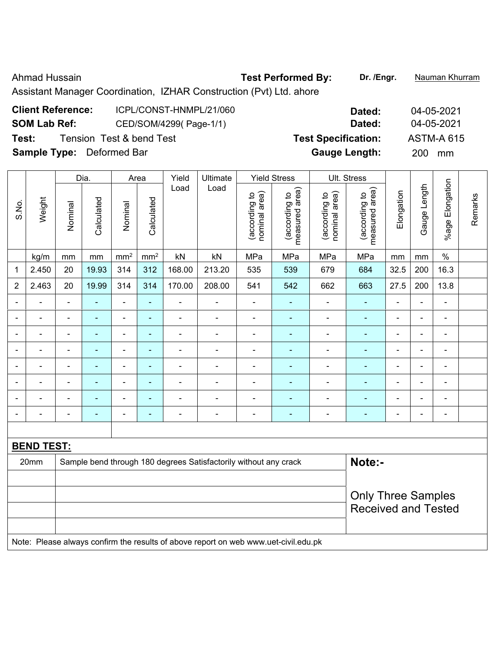### Ahmad Hussain **Test Performed By:** Dr. /Engr. **Nauman Khurram**

Assistant Manager Coordination, IZHAR Construction (Pvt) Ltd. ahore

# **Client Reference:** ICPL/CONST-HNMPL/21/060 **Dated:** 04-05-2021 **SOM Lab Ref:** CED/SOM/4299( Page-1/1) **Dated:** 04-05-2021 **Test:** Tension Test & bend Test **Test Specification:** ASTM-A 615 **Sample Type:** Deformed Bar **Gauge Length:** 200 mm

|                |                   |                          | Dia.           |                | Area            | Yield          | Ultimate                                                                            |                                | <b>Yield Stress</b>             |                                | Ult. Stress                     |                          |                |                        |         |
|----------------|-------------------|--------------------------|----------------|----------------|-----------------|----------------|-------------------------------------------------------------------------------------|--------------------------------|---------------------------------|--------------------------------|---------------------------------|--------------------------|----------------|------------------------|---------|
| S.No.          | Weight            | Nominal                  | Calculated     | Nominal        | Calculated      | Load           | Load                                                                                | nominal area)<br>(according to | (according to<br>measured area) | (according to<br>nominal area) | (according to<br>measured area) | Elongation               | Gauge Length   | <b>%age Elongation</b> | Remarks |
|                | kg/m              | mm                       | mm             | $\rm mm^2$     | mm <sup>2</sup> | kN             | kN                                                                                  | MPa                            | MPa                             | MPa                            | MPa                             | mm                       | mm             | $\%$                   |         |
| 1              | 2.450             | 20                       | 19.93          | 314            | 312             | 168.00         | 213.20                                                                              | 535                            | 539                             | 679                            | 684                             | 32.5                     | 200            | 16.3                   |         |
| $\overline{2}$ | 2.463             | 20                       | 19.99          | 314            | 314             | 170.00         | 208.00                                                                              | 541                            | 542                             | 662                            | 663                             | 27.5                     | 200            | 13.8                   |         |
| $\blacksquare$ | $\blacksquare$    | $\blacksquare$           | $\blacksquare$ | ÷,             | ÷               | ÷,             | $\overline{\phantom{a}}$                                                            | $\blacksquare$                 | $\blacksquare$                  | $\blacksquare$                 | $\blacksquare$                  | $\overline{\phantom{a}}$ | $\blacksquare$ | $\blacksquare$         |         |
| $\blacksquare$ | ÷                 | $\blacksquare$           | ÷,             | $\blacksquare$ | ٠               | ÷,             | $\overline{\phantom{a}}$                                                            | $\blacksquare$                 | $\blacksquare$                  | $\blacksquare$                 | $\blacksquare$                  | $\blacksquare$           | L,             | $\blacksquare$         |         |
|                | ä,                | $\blacksquare$           | ä,             | $\blacksquare$ | $\blacksquare$  | $\blacksquare$ | ä,                                                                                  | $\blacksquare$                 | $\blacksquare$                  | $\blacksquare$                 | $\blacksquare$                  | $\blacksquare$           | $\blacksquare$ | $\blacksquare$         |         |
|                | $\blacksquare$    | $\overline{\phantom{a}}$ | ÷,             | ÷,             | ÷               | ÷,             | ÷                                                                                   | $\blacksquare$                 | ÷,                              | $\blacksquare$                 | $\blacksquare$                  | $\overline{a}$           | $\blacksquare$ | $\blacksquare$         |         |
|                |                   | $\blacksquare$           | $\blacksquare$ | $\blacksquare$ | $\overline{a}$  | ä,             | ä,                                                                                  | ä,                             | $\blacksquare$                  | $\blacksquare$                 | $\blacksquare$                  | $\blacksquare$           | ä,             | $\blacksquare$         |         |
|                |                   | $\blacksquare$           |                | $\blacksquare$ | ÷               | ۰              |                                                                                     | $\blacksquare$                 |                                 |                                | $\blacksquare$                  | ٠                        | Ē,             | $\blacksquare$         |         |
|                |                   |                          | $\blacksquare$ | $\blacksquare$ | ٠               | ۰              |                                                                                     | $\overline{a}$                 | $\overline{\phantom{0}}$        | $\overline{\phantom{0}}$       | $\blacksquare$                  |                          | ٠              | $\blacksquare$         |         |
| $\blacksquare$ |                   | $\blacksquare$           | $\blacksquare$ | $\blacksquare$ | ÷               | ÷,             | $\overline{\phantom{a}}$                                                            | $\blacksquare$                 | $\blacksquare$                  | $\overline{\phantom{a}}$       | $\blacksquare$                  | $\blacksquare$           | ä,             | $\blacksquare$         |         |
|                |                   |                          |                |                |                 |                |                                                                                     |                                |                                 |                                |                                 |                          |                |                        |         |
|                | <b>BEND TEST:</b> |                          |                |                |                 |                |                                                                                     |                                |                                 |                                |                                 |                          |                |                        |         |
|                | 20mm              |                          |                |                |                 |                | Sample bend through 180 degrees Satisfactorily without any crack                    |                                |                                 |                                | Note:-                          |                          |                |                        |         |
|                |                   |                          |                |                |                 |                |                                                                                     |                                |                                 |                                |                                 |                          |                |                        |         |
|                |                   |                          |                |                |                 |                |                                                                                     |                                |                                 |                                | <b>Only Three Samples</b>       |                          |                |                        |         |
|                |                   |                          |                |                |                 |                |                                                                                     |                                |                                 |                                | <b>Received and Tested</b>      |                          |                |                        |         |
|                |                   |                          |                |                |                 |                |                                                                                     |                                |                                 |                                |                                 |                          |                |                        |         |
|                |                   |                          |                |                |                 |                | Note: Please always confirm the results of above report on web www.uet-civil.edu.pk |                                |                                 |                                |                                 |                          |                |                        |         |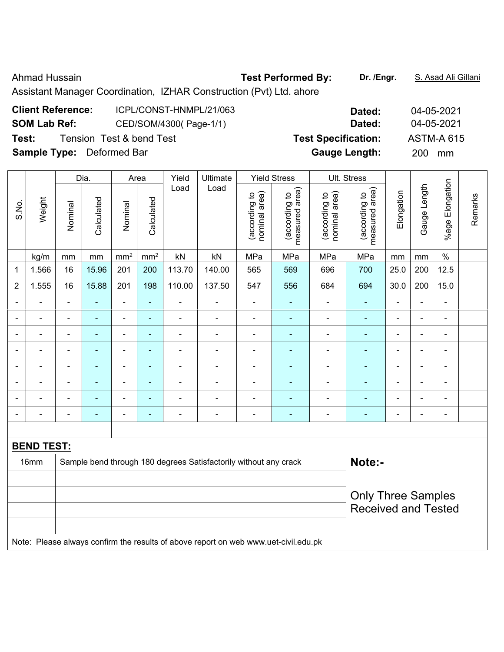### Ahmad Hussain **Test Performed By:** Dr. /Engr. **S. Asad Ali Gillani** Ahmad Hussain

Assistant Manager Coordination, IZHAR Construction (Pvt) Ltd. ahore

# **Client Reference:** ICPL/CONST-HNMPL/21/063 **Dated:** 04-05-2021 **SOM Lab Ref:** CED/SOM/4300( Page-1/1) **Dated:** 04-05-2021 **Test:** Tension Test & bend Test **Test Specification:** ASTM-A 615 **Sample Type:** Deformed Bar **Gauge Length:** 200 mm

|                |                   |                | Dia.           |                          | Area            | Yield          | Ultimate                                                                            |                                | <b>Yield Stress</b>             |                                | Ult. Stress                     |                |                |                          |         |
|----------------|-------------------|----------------|----------------|--------------------------|-----------------|----------------|-------------------------------------------------------------------------------------|--------------------------------|---------------------------------|--------------------------------|---------------------------------|----------------|----------------|--------------------------|---------|
| S.No.          | Weight            | Nominal        | Calculated     | Nominal                  | Calculated      | Load           | Load                                                                                | nominal area)<br>(according to | (according to<br>measured area) | nominal area)<br>(according to | (according to<br>measured area) | Elongation     | Gauge Length   | %age Elongation          | Remarks |
|                | kg/m              | mm             | $\,mm$         | mm <sup>2</sup>          | mm <sup>2</sup> | kN             | kN                                                                                  | MPa                            | MPa                             | MPa                            | MPa                             | mm             | mm             | $\%$                     |         |
| 1              | 1.566             | 16             | 15.96          | 201                      | 200             | 113.70         | 140.00                                                                              | 565                            | 569                             | 696                            | 700                             | 25.0           | 200            | 12.5                     |         |
| $\overline{2}$ | 1.555             | 16             | 15.88          | 201                      | 198             | 110.00         | 137.50                                                                              | 547                            | 556                             | 684                            | 694                             | 30.0           | 200            | 15.0                     |         |
| $\sim$         | ÷                 | $\blacksquare$ | $\blacksquare$ | $\blacksquare$           | ÷               | $\blacksquare$ | $\blacksquare$                                                                      | -                              | $\blacksquare$                  | $\overline{\phantom{a}}$       | $\blacksquare$                  | $\blacksquare$ | $\blacksquare$ | ÷,                       |         |
| ۰              | ÷                 | $\blacksquare$ | $\blacksquare$ | $\blacksquare$           | $\blacksquare$  | $\blacksquare$ | $\blacksquare$                                                                      | $\blacksquare$                 | $\blacksquare$                  | $\overline{\phantom{a}}$       | $\blacksquare$                  | $\blacksquare$ | ä,             | $\blacksquare$           |         |
| $\blacksquare$ | $\blacksquare$    | $\blacksquare$ | $\blacksquare$ | $\blacksquare$           | $\blacksquare$  | $\blacksquare$ | $\blacksquare$                                                                      | $\blacksquare$                 | $\blacksquare$                  | ä,                             | $\blacksquare$                  | $\blacksquare$ | $\blacksquare$ | $\overline{\phantom{a}}$ |         |
|                | $\blacksquare$    | $\blacksquare$ | $\blacksquare$ | $\overline{\phantom{a}}$ | $\blacksquare$  | $\blacksquare$ | $\blacksquare$                                                                      |                                | $\blacksquare$                  | ä,                             | $\blacksquare$                  | $\blacksquare$ | ä,             | $\blacksquare$           |         |
|                | ÷                 |                | $\blacksquare$ | $\blacksquare$           | ä,              |                | $\blacksquare$                                                                      | L,                             | ä,                              |                                | $\blacksquare$                  |                | L              | $\blacksquare$           |         |
|                |                   |                |                | $\blacksquare$           |                 |                |                                                                                     | -                              |                                 |                                |                                 |                | $\blacksquare$ | Ē,                       |         |
|                | $\blacksquare$    |                |                | $\blacksquare$           | $\blacksquare$  | $\blacksquare$ | $\blacksquare$                                                                      | $\blacksquare$                 |                                 | $\blacksquare$                 | $\blacksquare$                  |                | $\blacksquare$ | $\blacksquare$           |         |
| $\blacksquare$ | ÷                 | $\blacksquare$ | ÷              | $\blacksquare$           | $\blacksquare$  | $\blacksquare$ | $\blacksquare$                                                                      | $\overline{\phantom{a}}$       | -                               | -                              | $\blacksquare$                  | $\blacksquare$ | $\blacksquare$ | $\blacksquare$           |         |
|                |                   |                |                |                          |                 |                |                                                                                     |                                |                                 |                                |                                 |                |                |                          |         |
|                | <b>BEND TEST:</b> |                |                |                          |                 |                |                                                                                     |                                |                                 |                                |                                 |                |                |                          |         |
|                | 16mm              |                |                |                          |                 |                | Sample bend through 180 degrees Satisfactorily without any crack                    |                                |                                 |                                | Note:-                          |                |                |                          |         |
|                |                   |                |                |                          |                 |                |                                                                                     |                                |                                 |                                |                                 |                |                |                          |         |
|                |                   |                |                |                          |                 |                |                                                                                     |                                |                                 |                                | <b>Only Three Samples</b>       |                |                |                          |         |
|                |                   |                |                |                          |                 |                |                                                                                     |                                |                                 |                                | <b>Received and Tested</b>      |                |                |                          |         |
|                |                   |                |                |                          |                 |                |                                                                                     |                                |                                 |                                |                                 |                |                |                          |         |
|                |                   |                |                |                          |                 |                | Note: Please always confirm the results of above report on web www.uet-civil.edu.pk |                                |                                 |                                |                                 |                |                |                          |         |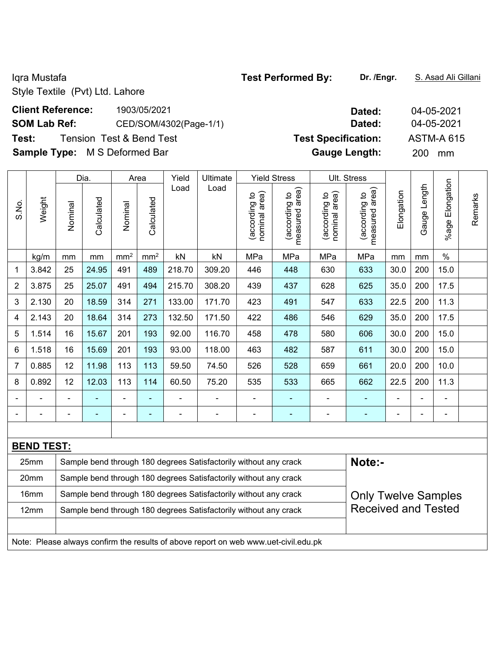Style Textile (Pvt) Ltd. Lahore

## **Client Reference:** 1903/05/2021 **Dated:** 04-05-2021 **SOM Lab Ref:** CED/SOM/4302(Page-1/1) **Dated:** 04-05-2021 **Test:** Tension Test & Bend Test **Test Specification:** ASTM-A 615

**Sample Type:** M S Deformed Bar **Gauge Length:** 200 mm

|                |                   |                | Dia.                                                             |                 | Area            | Yield          | Ultimate                                                                            |                                | <b>Yield Stress</b>             |                                | Ult. Stress                        |                |                          |                 |         |
|----------------|-------------------|----------------|------------------------------------------------------------------|-----------------|-----------------|----------------|-------------------------------------------------------------------------------------|--------------------------------|---------------------------------|--------------------------------|------------------------------------|----------------|--------------------------|-----------------|---------|
| S.No.          | Weight            | Nominal        | Calculated                                                       | Nominal         | Calculated      | Load           | Load                                                                                | nominal area)<br>(according to | (according to<br>measured area) | nominal area)<br>(according to | area)<br>(according to<br>measured | Elongation     | Gauge Length             | %age Elongation | Remarks |
|                | kg/m              | mm             | mm                                                               | mm <sup>2</sup> | mm <sup>2</sup> | kN             | kN                                                                                  | MPa                            | MPa                             | MPa                            | MPa                                | mm             | mm                       | $\%$            |         |
| 1              | 3.842             | 25             | 24.95                                                            | 491             | 489             | 218.70         | 309.20                                                                              | 446                            | 448                             | 630                            | 633                                | 30.0           | 200                      | 15.0            |         |
| $\overline{2}$ | 3.875             | 25             | 25.07                                                            | 491             | 494             | 215.70         | 308.20                                                                              | 439                            | 437                             | 628                            | 625                                | 35.0           | 200                      | 17.5            |         |
| 3              | 2.130             | 20             | 18.59                                                            | 314             | 271             | 133.00         | 171.70                                                                              | 423                            | 491                             | 547                            | 633                                | 22.5           | 200                      | 11.3            |         |
| 4              | 2.143             | 20             | 18.64                                                            | 314             | 273             | 132.50         | 171.50                                                                              | 422                            | 486                             | 546                            | 629                                | 35.0           | 200                      | 17.5            |         |
| 5              | 1.514             | 16             | 15.67                                                            | 201             | 193             | 92.00          | 116.70                                                                              | 458                            | 478                             | 580                            | 606                                | 30.0           | 200                      | 15.0            |         |
| 6              | 1.518             | 16             | 15.69                                                            | 201             | 193             | 93.00          | 118.00                                                                              | 463                            | 482                             | 587                            | 611                                | 30.0           | 200                      | 15.0            |         |
| $\overline{7}$ | 0.885             | 12             | 11.98                                                            | 113             | 113             | 59.50          | 74.50                                                                               | 526                            | 528                             | 659                            | 661                                | 20.0           | 200                      | 10.0            |         |
| 8              | 0.892             | 12             | 12.03                                                            | 113             | 114             | 60.50          | 75.20                                                                               | 535                            | 533                             | 665                            | 662                                | 22.5           | 200                      | 11.3            |         |
|                |                   | $\blacksquare$ |                                                                  | ä,              | ۰               |                | $\blacksquare$                                                                      | $\blacksquare$                 | ÷                               |                                | $\blacksquare$                     | $\blacksquare$ | L,                       | $\blacksquare$  |         |
|                |                   |                | ٠                                                                | ÷,              | ۰               | $\overline{a}$ | $\blacksquare$                                                                      | $\overline{\phantom{a}}$       | ۰                               | ÷                              | $\blacksquare$                     | ÷              | $\overline{\phantom{a}}$ | $\blacksquare$  |         |
|                |                   |                |                                                                  |                 |                 |                |                                                                                     |                                |                                 |                                |                                    |                |                          |                 |         |
|                | <b>BEND TEST:</b> |                |                                                                  |                 |                 |                |                                                                                     |                                |                                 |                                |                                    |                |                          |                 |         |
|                | 25mm              |                |                                                                  |                 |                 |                | Sample bend through 180 degrees Satisfactorily without any crack                    |                                |                                 |                                | Note:-                             |                |                          |                 |         |
|                | 20mm              |                | Sample bend through 180 degrees Satisfactorily without any crack |                 |                 |                |                                                                                     |                                |                                 |                                |                                    |                |                          |                 |         |
|                | 16mm              |                |                                                                  |                 |                 |                | Sample bend through 180 degrees Satisfactorily without any crack                    |                                |                                 |                                | <b>Only Twelve Samples</b>         |                |                          |                 |         |
|                | 12mm              |                |                                                                  |                 |                 |                | Sample bend through 180 degrees Satisfactorily without any crack                    |                                |                                 |                                | <b>Received and Tested</b>         |                |                          |                 |         |
|                |                   |                |                                                                  |                 |                 |                |                                                                                     |                                |                                 |                                |                                    |                |                          |                 |         |
|                |                   |                |                                                                  |                 |                 |                | Note: Please always confirm the results of above report on web www.uet-civil.edu.pk |                                |                                 |                                |                                    |                |                          |                 |         |

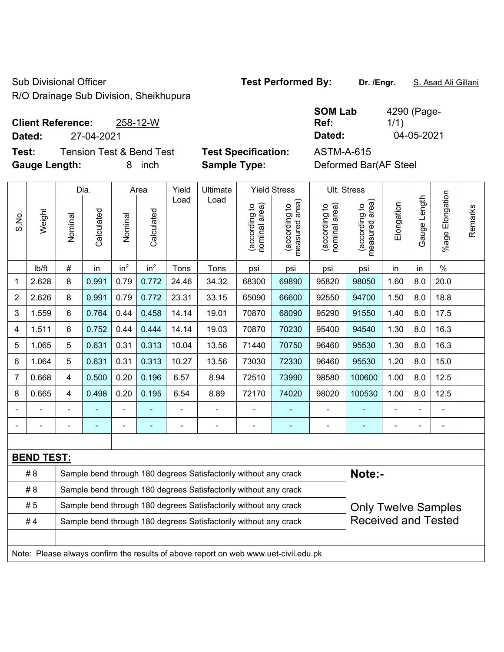Sub Divisional Officer **Test Performed By:** Dr. /Engr. **S. Asad Ali Gillani** 

R/O Drainage Sub Division, Sheikhupura

### **Client Reference:** 258-12-W **Dated:** 27-04-2021 **Dated:** 04-05-2021

**Test:** Tension Test & Bend Test **Test Specification:** ASTM-A-615

| <b>SOM Lab</b> | 4290 (Page- |
|----------------|-------------|
| Ref:           | 1/1)        |
| Dated:         | 04-05-2021  |

**Gauge Length:** 8 inch **Sample Type:** Deformed Bar(AF Steel

|                |                   |         | Dia.                                                                       |                 | Area            | Yield | Ultimate                                                                            |                                | <b>Yield Stress</b>                         |                                | Ult. Stress                     |                |              |                       |         |
|----------------|-------------------|---------|----------------------------------------------------------------------------|-----------------|-----------------|-------|-------------------------------------------------------------------------------------|--------------------------------|---------------------------------------------|--------------------------------|---------------------------------|----------------|--------------|-----------------------|---------|
| S.No.          | Weight            | Nominal | Calculated                                                                 | Nominal         | Calculated      | Load  | Load                                                                                | nominal area)<br>(according to | (according to<br>neasured area)<br>measured | nominal area)<br>(according to | measured area)<br>(according to | Elongation     | Gauge Length | Elongation<br>$%$ age | Remarks |
|                | lb/ft             | #       | in                                                                         | in <sup>2</sup> | in <sup>2</sup> | Tons  | Tons                                                                                | psi                            | psi                                         | psi                            | psi                             | in             | in           | $\%$                  |         |
| 1              | 2.628             | 8       | 0.991                                                                      | 0.79            | 0.772           | 24.46 | 34.32                                                                               | 68300                          | 69890                                       | 95820                          | 98050                           | 1.60           | 8.0          | 20.0                  |         |
| $\overline{2}$ | 2.626             | 8       | 0.991                                                                      | 0.79            | 0.772           | 23.31 | 33.15                                                                               | 65090                          | 66600                                       | 92550                          | 94700                           | 1.50           | 8.0          | 18.8                  |         |
| 3              | 1.559             | 6       | 0.764                                                                      | 0.44            | 0.458           | 14.14 | 19.01                                                                               | 70870                          | 68090                                       | 95290                          | 91550                           | 1.40           | 8.0          | 17.5                  |         |
| 4              | 1.511             | 6       | 0.752                                                                      | 0.44            | 0.444           | 14.14 | 19.03                                                                               | 70870                          | 70230                                       | 95400                          | 94540                           | 1.30           | 8.0          | 16.3                  |         |
| 5              | 1.065             | 5       | 0.631                                                                      | 0.31            | 0.313           | 10.04 | 13.56                                                                               | 71440                          | 70750                                       | 96460                          | 95530                           | 1.30           | 8.0          | 16.3                  |         |
| 6              | 1.064             | 5       | 0.631                                                                      | 0.31            | 0.313           | 10.27 | 13.56                                                                               | 73030                          | 72330                                       | 96460                          | 95530                           | 1.20           | 8.0          | 15.0                  |         |
| $\overline{7}$ | 0.668             | 4       | 0.500                                                                      | 0.20            | 0.196           | 6.57  | 8.94                                                                                | 72510                          | 73990                                       | 98580                          | 100600                          | 1.00           | 8.0          | 12.5                  |         |
| 8              | 0.665             | 4       | 0.498                                                                      | 0.20            | 0.195           | 6.54  | 8.89                                                                                | 72170                          | 74020                                       | 98020                          | 100530                          | 1.00           | 8.0          | 12.5                  |         |
|                |                   |         |                                                                            | $\blacksquare$  |                 | ä,    | ÷,                                                                                  |                                |                                             |                                |                                 |                |              | $\blacksquare$        |         |
|                |                   |         | $\blacksquare$                                                             | ÷,              | ٠               | ä,    | $\frac{1}{2}$                                                                       | $\blacksquare$                 | $\blacksquare$                              | $\blacksquare$                 | $\blacksquare$                  | $\blacksquare$ |              | $\blacksquare$        |         |
|                |                   |         |                                                                            |                 |                 |       |                                                                                     |                                |                                             |                                |                                 |                |              |                       |         |
|                | <b>BEND TEST:</b> |         |                                                                            |                 |                 |       |                                                                                     |                                |                                             |                                |                                 |                |              |                       |         |
|                | # 8               |         | Sample bend through 180 degrees Satisfactorily without any crack<br>Note:- |                 |                 |       |                                                                                     |                                |                                             |                                |                                 |                |              |                       |         |
|                | # 8               |         | Sample bend through 180 degrees Satisfactorily without any crack           |                 |                 |       |                                                                                     |                                |                                             |                                |                                 |                |              |                       |         |
|                | #5                |         |                                                                            |                 |                 |       | Sample bend through 180 degrees Satisfactorily without any crack                    |                                |                                             |                                | <b>Only Twelve Samples</b>      |                |              |                       |         |
|                | #4                |         |                                                                            |                 |                 |       | Sample bend through 180 degrees Satisfactorily without any crack                    |                                |                                             |                                | <b>Received and Tested</b>      |                |              |                       |         |
|                |                   |         |                                                                            |                 |                 |       |                                                                                     |                                |                                             |                                |                                 |                |              |                       |         |
|                |                   |         |                                                                            |                 |                 |       | Note: Please always confirm the results of above report on web www.uet-civil.edu.pk |                                |                                             |                                |                                 |                |              |                       |         |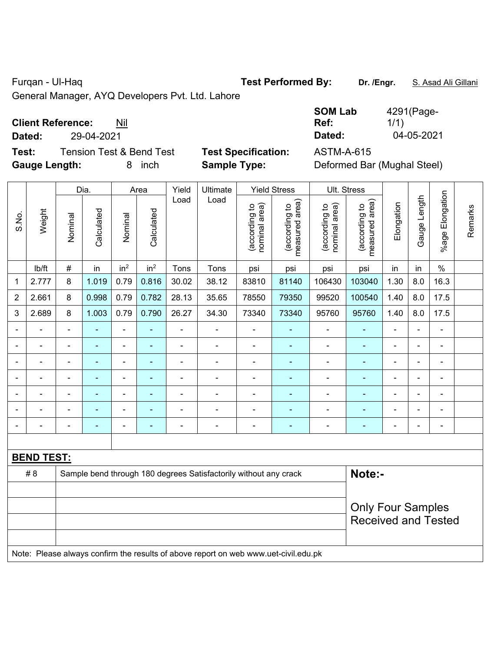Furqan - Ul-Haq **Test Performed By: Dr. /Engr.** S. Asad Ali Gillani

General Manager, AYQ Developers Pvt. Ltd. Lahore

## **Client Reference:** Nil

**Dated:** 29-04-2021 **Dated:** 04-05-2021

**Test:** Tension Test & Bend Test **Test Specification:** ASTM-A-615 **Gauge Length:** 8 inch **Sample Type:** Deformed Bar (Mughal Steel)

| SOM Lab | 4291(Page- |
|---------|------------|
| Ref:    | 1/1)       |
| Dated:  | 04-05-2021 |

|                |                   |                | Dia.           |                          | Area            | Yield          | Ultimate                                                                            |                                | <b>Yield Stress</b>             |                                | Ult. Stress                     |                |                |                          |         |
|----------------|-------------------|----------------|----------------|--------------------------|-----------------|----------------|-------------------------------------------------------------------------------------|--------------------------------|---------------------------------|--------------------------------|---------------------------------|----------------|----------------|--------------------------|---------|
| S.No.          | Weight            | Nominal        | Calculated     | Nominal                  | Calculated      | Load           | Load                                                                                | nominal area)<br>(according to | (according to<br>measured area) | nominal area)<br>(according to | measured area)<br>(according to | Elongation     | Gauge Length   | %age Elongation          | Remarks |
|                | Ib/ft             | #              | in             | in <sup>2</sup>          | in <sup>2</sup> | Tons           | Tons                                                                                | psi                            | psi                             | psi                            | psi                             | in             | in             | $\%$                     |         |
| 1              | 2.777             | 8              | 1.019          | 0.79                     | 0.816           | 30.02          | 38.12                                                                               | 83810                          | 81140                           | 106430                         | 103040                          | 1.30           | 8.0            | 16.3                     |         |
| $\overline{2}$ | 2.661             | 8              | 0.998          | 0.79                     | 0.782           | 28.13          | 35.65                                                                               | 78550                          | 79350                           | 99520                          | 100540                          | 1.40           | 8.0            | 17.5                     |         |
| 3              | 2.689             | $\,8\,$        | 1.003          | 0.79                     | 0.790           | 26.27          | 34.30                                                                               | 73340                          | 73340                           | 95760                          | 95760                           | 1.40           | 8.0            | 17.5                     |         |
|                |                   |                |                | $\blacksquare$           |                 |                |                                                                                     |                                |                                 |                                |                                 |                |                | $\blacksquare$           |         |
| $\blacksquare$ | $\blacksquare$    | $\blacksquare$ | ۰              | $\overline{\phantom{0}}$ | $\blacksquare$  | $\blacksquare$ | $\overline{\phantom{0}}$                                                            | $\blacksquare$                 | $\blacksquare$                  | $\blacksquare$                 | ۰                               | $\blacksquare$ | $\blacksquare$ | $\overline{\phantom{a}}$ |         |
|                | ä,                | $\blacksquare$ | $\blacksquare$ | ÷,                       | ٠               | $\blacksquare$ | ä,                                                                                  | $\blacksquare$                 | ÷                               | $\blacksquare$                 | Ξ                               | ä,             | ä,             | $\blacksquare$           |         |
|                | $\blacksquare$    | $\blacksquare$ | ÷,             | $\blacksquare$           | ÷               | ä,             | ä,                                                                                  | $\blacksquare$                 | $\blacksquare$                  | $\blacksquare$                 | ۰                               |                | $\blacksquare$ | $\blacksquare$           |         |
|                | $\blacksquare$    |                | ۰              | ÷                        | ۰               | $\blacksquare$ |                                                                                     |                                | $\blacksquare$                  | $\blacksquare$                 | ۳                               |                | Ē,             | $\blacksquare$           |         |
|                |                   |                |                | ÷                        |                 |                |                                                                                     |                                | ÷                               |                                | ä,                              |                |                | $\blacksquare$           |         |
|                |                   | $\blacksquare$ | $\blacksquare$ | ۰                        | ÷               | $\blacksquare$ | -                                                                                   | $\blacksquare$                 | ٠                               | $\blacksquare$                 | ۰                               | $\blacksquare$ | $\blacksquare$ | $\blacksquare$           |         |
|                |                   |                |                |                          |                 |                |                                                                                     |                                |                                 |                                |                                 |                |                |                          |         |
|                | <b>BEND TEST:</b> |                |                |                          |                 |                |                                                                                     |                                |                                 |                                |                                 |                |                |                          |         |
|                | # 8               |                |                |                          |                 |                | Sample bend through 180 degrees Satisfactorily without any crack                    |                                |                                 |                                | Note:-                          |                |                |                          |         |
|                |                   |                |                |                          |                 |                |                                                                                     |                                |                                 |                                |                                 |                |                |                          |         |
|                |                   |                |                |                          |                 |                |                                                                                     |                                |                                 |                                | <b>Only Four Samples</b>        |                |                |                          |         |
|                |                   |                |                |                          |                 |                |                                                                                     |                                |                                 |                                | <b>Received and Tested</b>      |                |                |                          |         |
|                |                   |                |                |                          |                 |                |                                                                                     |                                |                                 |                                |                                 |                |                |                          |         |
|                |                   |                |                |                          |                 |                | Note: Please always confirm the results of above report on web www.uet-civil.edu.pk |                                |                                 |                                |                                 |                |                |                          |         |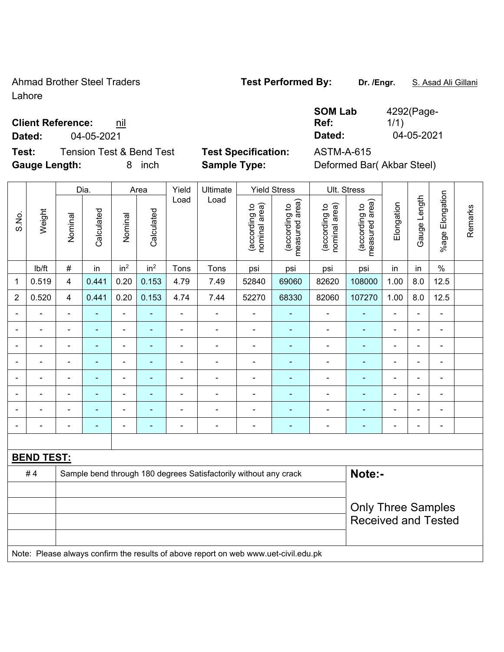Ahmad Brother Steel Traders **Test Performed By:** Dr. /Engr. **S. Asad Ali Gillani** Lahore

### **Client Reference:** nil

**Dated:** 04-05-2021 **Dated:** 04-05-2021

**Test:** Tension Test & Bend Test **Test Specification:** ASTM-A-615 **Gauge Length:** 8 inch **Sample Type:** Deformed Bar( Akbar Steel)

|  |  | Ref: |  |
|--|--|------|--|
|  |  |      |  |

|                |                   |                          | Dia.           |                 | Area            | Yield          | Ultimate                                                                            |                                | <b>Yield Stress</b>             |                                | Ult. Stress                     |                |                |                      |         |
|----------------|-------------------|--------------------------|----------------|-----------------|-----------------|----------------|-------------------------------------------------------------------------------------|--------------------------------|---------------------------------|--------------------------------|---------------------------------|----------------|----------------|----------------------|---------|
| S.No.          | Weight            | Nominal                  | Calculated     | Nominal         | Calculated      | Load           | Load                                                                                | nominal area)<br>(according to | (according to<br>measured area) | (according to<br>nominal area) | (according to<br>measured area) | Elongation     | Gauge Length   | Elongation<br>%age l | Remarks |
|                | Ib/ft             | $\#$                     | in             | in <sup>2</sup> | in <sup>2</sup> | Tons           | Tons                                                                                | psi                            | psi                             | psi                            | psi                             | in             | in             | $\%$                 |         |
| 1              | 0.519             | $\overline{\mathbf{4}}$  | 0.441          | 0.20            | 0.153           | 4.79           | 7.49                                                                                | 52840                          | 69060                           | 82620                          | 108000                          | 1.00           | 8.0            | 12.5                 |         |
| $\overline{2}$ | 0.520             | $\overline{\mathbf{4}}$  | 0.441          | 0.20            | 0.153           | 4.74           | 7.44                                                                                | 52270                          | 68330                           | 82060                          | 107270                          | 1.00           | 8.0            | 12.5                 |         |
| $\blacksquare$ | ÷,                | $\blacksquare$           | ٠              | $\blacksquare$  | ä,              | $\blacksquare$ | $\blacksquare$                                                                      | $\blacksquare$                 | $\blacksquare$                  | $\overline{\phantom{a}}$       | $\blacksquare$                  | ÷,             | $\blacksquare$ | $\blacksquare$       |         |
|                | ä,                | ä,                       | ä,             | $\blacksquare$  | $\blacksquare$  | ÷,             | ÷,                                                                                  |                                | ÷                               | $\blacksquare$                 | $\blacksquare$                  | ä,             |                | $\blacksquare$       |         |
|                | ÷                 | $\blacksquare$           | $\blacksquare$ | ÷,              |                 | $\blacksquare$ | $\blacksquare$                                                                      | $\blacksquare$                 | ۰                               | $\blacksquare$                 | $\blacksquare$                  | $\blacksquare$ |                | ÷,                   |         |
|                | $\blacksquare$    |                          | $\blacksquare$ | $\blacksquare$  |                 |                | $\overline{\phantom{0}}$                                                            | ä,                             | $\blacksquare$                  | $\blacksquare$                 | ÷,                              | $\blacksquare$ |                | $\blacksquare$       |         |
|                |                   |                          | $\blacksquare$ | $\blacksquare$  |                 |                | $\blacksquare$                                                                      | $\blacksquare$                 |                                 | $\blacksquare$                 |                                 | $\blacksquare$ |                | $\blacksquare$       |         |
| $\blacksquare$ | ÷.                | $\overline{\phantom{a}}$ | $\blacksquare$ | ÷               | $\blacksquare$  | $\blacksquare$ | $\blacksquare$                                                                      | $\blacksquare$                 | ÷                               | ÷                              | $\blacksquare$                  | ÷,             | $\blacksquare$ | ÷,                   |         |
|                |                   |                          | ۰              | ÷               |                 |                | $\blacksquare$                                                                      | ä,                             | ۰                               | $\blacksquare$                 | $\overline{\phantom{a}}$        | ÷              |                | ÷,                   |         |
|                | Ē,                | $\blacksquare$           | ٠              | ÷,              |                 | $\blacksquare$ | $\blacksquare$                                                                      | ä,                             | ۰                               | $\overline{\phantom{a}}$       | $\blacksquare$                  | ä,             |                | ÷,                   |         |
|                |                   |                          |                |                 |                 |                |                                                                                     |                                |                                 |                                |                                 |                |                |                      |         |
|                | <b>BEND TEST:</b> |                          |                |                 |                 |                |                                                                                     |                                |                                 |                                |                                 |                |                |                      |         |
|                | #4                |                          |                |                 |                 |                | Sample bend through 180 degrees Satisfactorily without any crack                    |                                |                                 |                                | Note:-                          |                |                |                      |         |
|                |                   |                          |                |                 |                 |                |                                                                                     |                                |                                 |                                |                                 |                |                |                      |         |
|                |                   |                          |                |                 |                 |                |                                                                                     |                                |                                 |                                | <b>Only Three Samples</b>       |                |                |                      |         |
|                |                   |                          |                |                 |                 |                |                                                                                     |                                |                                 |                                | <b>Received and Tested</b>      |                |                |                      |         |
|                |                   |                          |                |                 |                 |                |                                                                                     |                                |                                 |                                |                                 |                |                |                      |         |
|                |                   |                          |                |                 |                 |                | Note: Please always confirm the results of above report on web www.uet-civil.edu.pk |                                |                                 |                                |                                 |                |                |                      |         |

# **SOM Lab**  4292(Page-

1/1)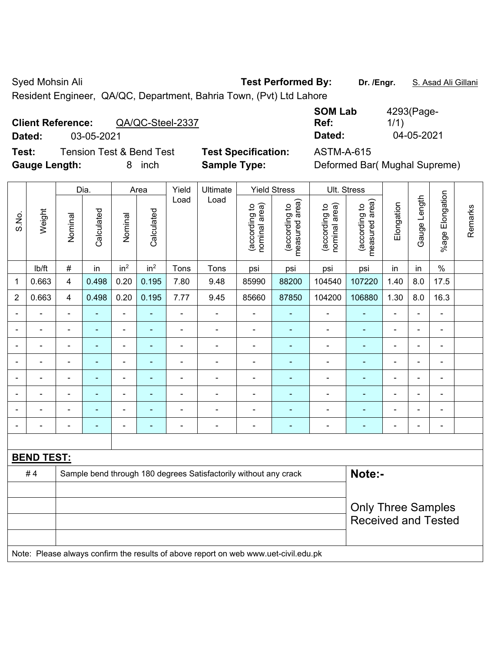Syed Mohsin Ali **Test Performed By:** Dr. /Engr. **S. Asad Ali Gillani** Cycle Ali Gillani

Resident Engineer, QA/QC, Department, Bahria Town, (Pvt) Ltd Lahore

# **Client Reference:** QA/QC-Steel-2337

**Dated:** 03-05-2021 **Dated:** 04-05-2021

**Test:** Tension Test & Bend Test **Test Specification:** ASTM-A-615 **Gauge Length:** 8 inch **Sample Type:** Deformed Bar( Mughal Supreme)

| <b>SOM Lab</b> | 4293(Page- |
|----------------|------------|
| Ref:           | 1/1)       |
| Dated:         | 04-05-2021 |

|                |                   |                | Dia.           |                          | Area                     | Yield          | Ultimate                                                                            |                                | <b>Yield Stress</b>             |                                | Ult. Stress                     |                |                |                           |         |  |
|----------------|-------------------|----------------|----------------|--------------------------|--------------------------|----------------|-------------------------------------------------------------------------------------|--------------------------------|---------------------------------|--------------------------------|---------------------------------|----------------|----------------|---------------------------|---------|--|
| S.No.          | Weight            | Nominal        | Calculated     | Nominal                  | Calculated               | Load           | Load                                                                                | nominal area)<br>(according to | (according to<br>measured area) | nominal area)<br>(according to | measured area)<br>(according to | Elongation     | Gauge Length   | %age Elongation           | Remarks |  |
|                | lb/ft             | $\#$           | in             | in <sup>2</sup>          | in <sup>2</sup>          | Tons           | Tons                                                                                | psi                            | psi                             | psi                            | psi                             | in             | in             | $\%$                      |         |  |
| 1              | 0.663             | 4              | 0.498          | 0.20                     | 0.195                    | 7.80           | 9.48                                                                                | 85990                          | 88200                           | 104540                         | 107220                          | 1.40           | 8.0            | 17.5                      |         |  |
| $\overline{2}$ | 0.663             | $\overline{4}$ | 0.498          | 0.20                     | 0.195                    | 7.77           | 9.45                                                                                | 85660                          | 87850                           | 104200                         | 106880                          | 1.30           | 8.0            | 16.3                      |         |  |
| ä,             | ä,                | $\blacksquare$ | ÷,             | $\overline{\phantom{a}}$ | ÷                        | $\blacksquare$ | $\blacksquare$                                                                      | $\qquad \qquad \blacksquare$   | $\blacksquare$                  | $\blacksquare$                 | ÷,                              | $\blacksquare$ | $\blacksquare$ | $\blacksquare$            |         |  |
|                | ÷.                | $\blacksquare$ | $\blacksquare$ | ÷,                       | $\blacksquare$           | ä,             | ÷,                                                                                  | $\blacksquare$                 | $\blacksquare$                  | $\overline{a}$                 | Ξ                               | $\blacksquare$ | ä,             | $\blacksquare$            |         |  |
| $\blacksquare$ | ÷.                | $\blacksquare$ | $\blacksquare$ | $\blacksquare$           | $\blacksquare$           | ä,             | $\blacksquare$                                                                      | $\blacksquare$                 | $\blacksquare$                  | $\blacksquare$                 | Ξ                               | ä,             | ä,             | $\blacksquare$            |         |  |
| Ē,             | ÷.                | $\blacksquare$ | ÷,             | ÷,                       | $\overline{\phantom{a}}$ | ä,             | $\blacksquare$                                                                      | $\overline{\phantom{a}}$       | Ξ                               | $\blacksquare$                 | ä,                              | $\blacksquare$ | $\blacksquare$ | $\blacksquare$            |         |  |
|                |                   |                | Ē,             | ä,                       | $\overline{\phantom{a}}$ |                | Ē,                                                                                  | $\blacksquare$                 | ۰                               | $\overline{a}$                 | L,                              |                |                | $\blacksquare$            |         |  |
|                |                   |                |                | ÷                        |                          |                |                                                                                     | $\blacksquare$                 |                                 |                                | ÷,                              |                | -              |                           |         |  |
|                | $\blacksquare$    |                |                | ÷                        |                          | $\blacksquare$ | ÷                                                                                   | $\blacksquare$                 | ۰                               | $\blacksquare$                 | ٠                               |                | $\blacksquare$ | $\blacksquare$            |         |  |
| $\blacksquare$ | ÷                 | $\blacksquare$ | $\blacksquare$ | $\blacksquare$           | $\overline{\phantom{a}}$ | Ē,             | $\frac{1}{2}$                                                                       | $\overline{\phantom{a}}$       | $\blacksquare$                  | $\overline{a}$                 | ۰                               | $\blacksquare$ | $\blacksquare$ | $\blacksquare$            |         |  |
|                |                   |                |                |                          |                          |                |                                                                                     |                                |                                 |                                |                                 |                |                |                           |         |  |
|                | <b>BEND TEST:</b> |                |                |                          |                          |                |                                                                                     |                                |                                 |                                |                                 |                |                |                           |         |  |
|                | #4                |                |                |                          |                          |                | Sample bend through 180 degrees Satisfactorily without any crack                    |                                |                                 |                                | Note:-                          |                |                |                           |         |  |
|                |                   |                |                |                          |                          |                |                                                                                     |                                |                                 |                                |                                 |                |                |                           |         |  |
|                |                   |                |                |                          |                          |                |                                                                                     |                                |                                 |                                |                                 |                |                | <b>Only Three Samples</b> |         |  |
|                |                   |                |                |                          |                          |                |                                                                                     |                                |                                 |                                | <b>Received and Tested</b>      |                |                |                           |         |  |
|                |                   |                |                |                          |                          |                |                                                                                     |                                |                                 |                                |                                 |                |                |                           |         |  |
|                |                   |                |                |                          |                          |                | Note: Please always confirm the results of above report on web www.uet-civil.edu.pk |                                |                                 |                                |                                 |                |                |                           |         |  |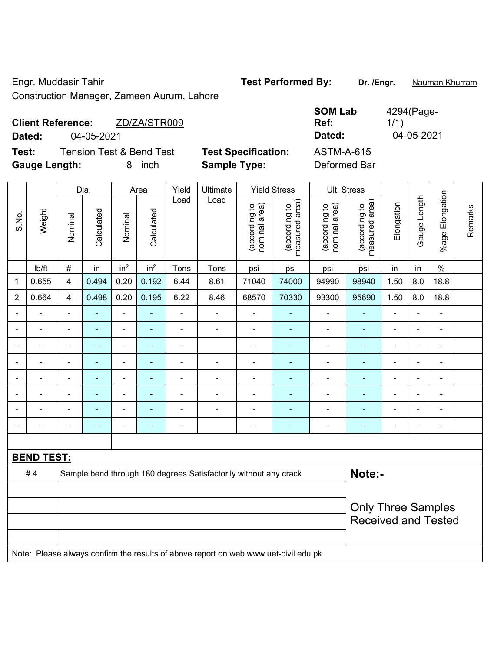Engr. Muddasir Tahir **Test Performed By:** Dr. /Engr. **Nauman Khurram** Construction Manager, Zameen Aurum, Lahore

|                      | <b>Client Reference:</b> | ZD/ZA/STR009             |                            | <b>JUM LAD</b><br>Ref: | 4294(Fay <del>c</del> -<br>1/1) |
|----------------------|--------------------------|--------------------------|----------------------------|------------------------|---------------------------------|
| Dated:               | 04-05-2021               |                          |                            | Dated:                 | 04-05-2021                      |
| Test:                |                          | Tension Test & Bend Test | <b>Test Specification:</b> | ASTM-A-615             |                                 |
| <b>Gauge Length:</b> |                          | inch                     | <b>Sample Type:</b>        | Deformed Bar           |                                 |

|                |                   |                           | Dia.           |                 | Area                     | Yield | Ultimate                                                                            |                                | <b>Yield Stress</b>             |                                | Ult. Stress                     |                |                |                          |         |
|----------------|-------------------|---------------------------|----------------|-----------------|--------------------------|-------|-------------------------------------------------------------------------------------|--------------------------------|---------------------------------|--------------------------------|---------------------------------|----------------|----------------|--------------------------|---------|
| S.No.          | Weight            | Nominal                   | Calculated     | Nominal         | Calculated               | Load  | Load                                                                                | nominal area)<br>(according to | (according to<br>measured area) | (according to<br>nominal area) | measured area)<br>(according to | Elongation     | Gauge Length   | %age Elongation          | Remarks |
|                | Ib/ft             | $\#$                      | in             | in <sup>2</sup> | in <sup>2</sup>          | Tons  | Tons                                                                                | psi                            | psi                             | psi                            | psi                             | in             | in             | $\%$                     |         |
| 1              | 0.655             | 4                         | 0.494          | 0.20            | 0.192                    | 6.44  | 8.61                                                                                | 71040                          | 74000                           | 94990                          | 98940                           | 1.50           | 8.0            | 18.8                     |         |
| $\overline{2}$ | 0.664             | $\overline{4}$            | 0.498          | 0.20            | 0.195                    | 6.22  | 8.46                                                                                | 68570                          | 70330                           | 93300                          | 95690                           | 1.50           | 8.0            | 18.8                     |         |
| $\blacksquare$ |                   |                           |                | $\blacksquare$  |                          | ÷     | ä,                                                                                  | $\blacksquare$                 |                                 | ÷,                             |                                 | ä,             |                | $\blacksquare$           |         |
| $\overline{a}$ |                   | ä,                        | $\blacksquare$ | $\blacksquare$  | $\overline{\phantom{a}}$ | -     | $\overline{\phantom{a}}$                                                            | $\blacksquare$                 | $\blacksquare$                  | ÷                              | ÷,                              | $\overline{a}$ | $\blacksquare$ | $\overline{\phantom{a}}$ |         |
| $\blacksquare$ |                   | $\blacksquare$            | $\blacksquare$ | $\blacksquare$  | $\overline{\phantom{a}}$ | L,    | ä,                                                                                  | $\blacksquare$                 | $\blacksquare$                  | ÷,                             | $\blacksquare$                  | $\blacksquare$ | $\blacksquare$ | $\blacksquare$           |         |
| $\blacksquare$ |                   | ä,                        | $\blacksquare$ | $\blacksquare$  | $\blacksquare$           | L,    | ÷.                                                                                  | ä,                             | ä,                              | ä,                             | Ē,                              | $\blacksquare$ | $\blacksquare$ | $\blacksquare$           |         |
| ä,             | $\blacksquare$    | ä,                        | $\blacksquare$ | $\blacksquare$  | $\overline{\phantom{a}}$ | ä,    | ä,                                                                                  | $\overline{\phantom{a}}$       | $\blacksquare$                  | ÷,                             | $\blacksquare$                  | $\blacksquare$ | $\blacksquare$ | $\blacksquare$           |         |
|                |                   |                           | $\blacksquare$ | $\blacksquare$  |                          |       | $\blacksquare$                                                                      |                                |                                 | $\blacksquare$                 | ٠                               |                |                |                          |         |
|                |                   |                           |                | $\blacksquare$  |                          |       | $\blacksquare$                                                                      | $\blacksquare$                 |                                 | ÷                              |                                 |                |                |                          |         |
| $\blacksquare$ |                   |                           | $\blacksquare$ | $\blacksquare$  | $\overline{\phantom{a}}$ | -     | $\overline{a}$                                                                      | $\blacksquare$                 | ×,                              | ÷                              | ÷                               | $\overline{a}$ | $\blacksquare$ | $\blacksquare$           |         |
|                |                   |                           |                |                 |                          |       |                                                                                     |                                |                                 |                                |                                 |                |                |                          |         |
|                | <b>BEND TEST:</b> |                           |                |                 |                          |       |                                                                                     |                                |                                 |                                |                                 |                |                |                          |         |
|                | #4                |                           |                |                 |                          |       | Sample bend through 180 degrees Satisfactorily without any crack                    |                                |                                 |                                | Note:-                          |                |                |                          |         |
|                |                   |                           |                |                 |                          |       |                                                                                     |                                |                                 |                                |                                 |                |                |                          |         |
|                |                   | <b>Only Three Samples</b> |                |                 |                          |       |                                                                                     |                                |                                 |                                |                                 |                |                |                          |         |
|                |                   |                           |                |                 |                          |       |                                                                                     |                                |                                 |                                | <b>Received and Tested</b>      |                |                |                          |         |
|                |                   |                           |                |                 |                          |       |                                                                                     |                                |                                 |                                |                                 |                |                |                          |         |
|                |                   |                           |                |                 |                          |       | Note: Please always confirm the results of above report on web www.uet-civil.edu.pk |                                |                                 |                                |                                 |                |                |                          |         |

**SOM Lab** 

 $A29A/D$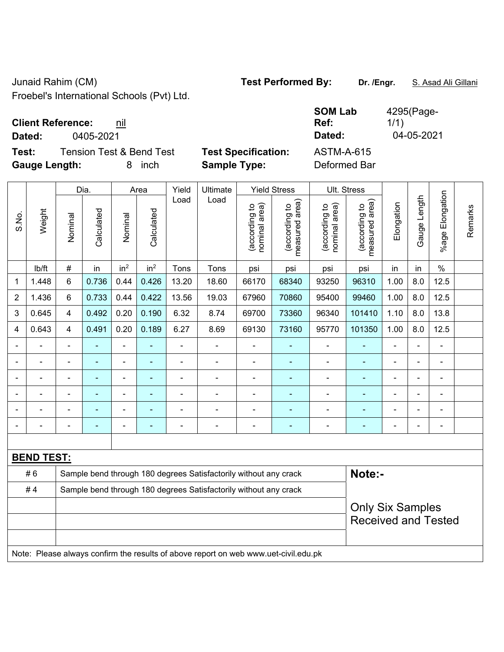Junaid Rahim (CM) **Test Performed By: Dr. /Engr.** S. Asad Ali Gillani

Froebel's International Schools (Pvt) Ltd.

| <b>Client Reference:</b> | nil |
|--------------------------|-----|
|--------------------------|-----|

**Test:** Tension Test & Bend Test **Test Specification:** ASTM-A-615 **Gauge Length:** 8 inch **Sample Type:** Deformed Bar

**SOM Lab Ref:**  4295(Page-1/1) **Dated:** 0405-2021 **Dated:** 04-05-2021

|                |                   |                         | Dia.           |                 | Area                                                             | Yield          | Ultimate                                                                            |                                | <b>Yield Stress</b>             |                                | Ult. Stress                     |                |              |                       |         |
|----------------|-------------------|-------------------------|----------------|-----------------|------------------------------------------------------------------|----------------|-------------------------------------------------------------------------------------|--------------------------------|---------------------------------|--------------------------------|---------------------------------|----------------|--------------|-----------------------|---------|
| S.No.          | Weight            | Nominal                 | Calculated     | Nominal         | Calculated                                                       | Load           | Load                                                                                | nominal area)<br>(according to | (according to<br>measured area) | nominal area)<br>(according to | (according to<br>measured area) | Elongation     | Gauge Length | Elongation<br>$%$ age | Remarks |
|                | lb/ft             | #                       | in             | in <sup>2</sup> | in <sup>2</sup>                                                  | Tons           | Tons                                                                                | psi                            | psi                             | psi                            | psi                             | in             | in           | $\%$                  |         |
| 1              | 1.448             | 6                       | 0.736          | 0.44            | 0.426                                                            | 13.20          | 18.60                                                                               | 66170                          | 68340                           | 93250                          | 96310                           | 1.00           | 8.0          | 12.5                  |         |
| $\overline{2}$ | 1.436             | 6                       | 0.733          | 0.44            | 0.422                                                            | 13.56          | 19.03                                                                               | 67960                          | 70860                           | 95400                          | 99460                           | 1.00           | 8.0          | 12.5                  |         |
| 3              | 0.645             | 4                       | 0.492          | 0.20            | 0.190                                                            | 6.32           | 8.74                                                                                | 69700                          | 73360                           | 96340                          | 101410                          | 1.10           | 8.0          | 13.8                  |         |
| 4              | 0.643             | $\overline{\mathbf{4}}$ | 0.491          | 0.20            | 0.189                                                            | 6.27           | 8.69                                                                                | 69130                          | 73160                           | 95770                          | 101350                          | 1.00           | 8.0          | 12.5                  |         |
|                | ÷,                | $\blacksquare$          | ä,             | ÷,              | ä,                                                               | $\blacksquare$ | $\blacksquare$                                                                      | $\overline{\phantom{a}}$       | $\blacksquare$                  | ÷                              | ٠                               | $\blacksquare$ |              | $\blacksquare$        |         |
|                | ä,                | $\blacksquare$          | $\blacksquare$ | $\blacksquare$  |                                                                  | Ē,             | ä,                                                                                  | $\overline{\phantom{a}}$       | ٠                               | ÷,                             | $\blacksquare$                  | ä,             |              | $\blacksquare$        |         |
|                | $\blacksquare$    | $\blacksquare$          | $\blacksquare$ | $\blacksquare$  |                                                                  | $\blacksquare$ | ä,                                                                                  | ÷,                             | $\blacksquare$                  | $\blacksquare$                 | ÷,                              | ÷              |              | $\blacksquare$        |         |
|                |                   |                         |                |                 |                                                                  |                | $\blacksquare$                                                                      | $\blacksquare$                 |                                 | ۰                              | $\overline{\phantom{0}}$        |                |              | $\blacksquare$        |         |
|                |                   |                         |                | $\blacksquare$  |                                                                  |                | $\blacksquare$                                                                      | ä,                             | $\blacksquare$                  | ۰                              | ۰                               |                |              | $\blacksquare$        |         |
| $\blacksquare$ |                   |                         |                | $\blacksquare$  |                                                                  |                | $\blacksquare$                                                                      | $\blacksquare$                 | ٠                               | ÷                              | ۰                               | ÷              |              | $\blacksquare$        |         |
|                |                   |                         |                |                 |                                                                  |                |                                                                                     |                                |                                 |                                |                                 |                |              |                       |         |
|                | <b>BEND TEST:</b> |                         |                |                 |                                                                  |                |                                                                                     |                                |                                 |                                |                                 |                |              |                       |         |
|                | #6                |                         |                |                 |                                                                  |                | Sample bend through 180 degrees Satisfactorily without any crack                    |                                |                                 |                                | Note:-                          |                |              |                       |         |
|                | #4                |                         |                |                 | Sample bend through 180 degrees Satisfactorily without any crack |                |                                                                                     |                                |                                 |                                |                                 |                |              |                       |         |
|                |                   |                         |                |                 |                                                                  |                | <b>Only Six Samples</b>                                                             |                                |                                 |                                |                                 |                |              |                       |         |
|                |                   |                         |                |                 |                                                                  |                |                                                                                     |                                |                                 |                                | <b>Received and Tested</b>      |                |              |                       |         |
|                |                   |                         |                |                 |                                                                  |                |                                                                                     |                                |                                 |                                |                                 |                |              |                       |         |
|                |                   |                         |                |                 |                                                                  |                | Note: Please always confirm the results of above report on web www.uet-civil.edu.pk |                                |                                 |                                |                                 |                |              |                       |         |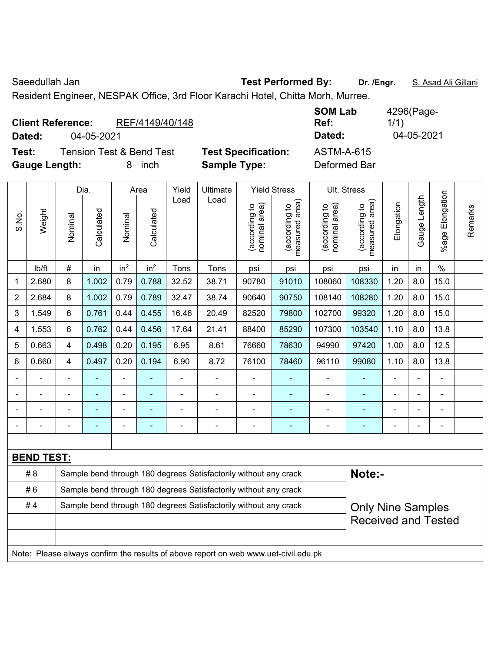```
Saeedullah Jan Test Performed By: Dr. /Engr. S. Asad Ali Gillani Saeedullah Jan
```
Resident Engineer, NESPAK Office, 3rd Floor Karachi Hotel, Chitta Morh, Murree.

| <b>Client Reference:</b><br>Dated: | 04-05-2021                          | REF/4149/40/148 |                            | <b>SOM Lab</b><br>Ref:<br>Dated: | 4296(Page-<br>1/1)<br>04-05-2021 |
|------------------------------------|-------------------------------------|-----------------|----------------------------|----------------------------------|----------------------------------|
| Test:                              | <b>Tension Test &amp; Bend Test</b> |                 | <b>Test Specification:</b> | <b>ASTM-A-615</b>                |                                  |
| <b>Gauge Length:</b>               |                                     | inch            | <b>Sample Type:</b>        | Deformed Bar                     |                                  |

|                |                   |                                                                  | Dia.                     |                 | Area            | Yield          | Ultimate                                                                            |                                | <b>Yield Stress</b>                         |                                | Ult. Stress                     |                          |                |                       |         |
|----------------|-------------------|------------------------------------------------------------------|--------------------------|-----------------|-----------------|----------------|-------------------------------------------------------------------------------------|--------------------------------|---------------------------------------------|--------------------------------|---------------------------------|--------------------------|----------------|-----------------------|---------|
| S.No.          | Weight            | Nominal                                                          | Calculated               | Nominal         | Calculated      | Load           | Load                                                                                | nominal area)<br>(according to | (according to<br>neasured area)<br>measured | (according to<br>nominal area) | (according to<br>measured area) | Elongation               | Gauge Length   | Elongation<br>$%$ age | Remarks |
|                | lb/ft             | $\#$                                                             | in                       | in <sup>2</sup> | in <sup>2</sup> | Tons           | Tons                                                                                | psi                            | psi                                         | psi                            | psi                             | in                       | in             | $\%$                  |         |
| 1              | 2.680             | 8                                                                | 1.002                    | 0.79            | 0.788           | 32.52          | 38.71                                                                               | 90780                          | 91010                                       | 108060                         | 108330                          | 1.20                     | 8.0            | 15.0                  |         |
| $\overline{2}$ | 2.684             | 8                                                                | 1.002                    | 0.79            | 0.789           | 32.47          | 38.74                                                                               | 90640                          | 90750                                       | 108140                         | 108280                          | 1.20                     | 8.0            | 15.0                  |         |
| 3              | 1.549             | 6                                                                | 0.761                    | 0.44            | 0.455           | 16.46          | 20.49                                                                               | 82520                          | 79800                                       | 102700                         | 99320                           | 1.20                     | 8.0            | 15.0                  |         |
| 4              | 1.553             | 6                                                                | 0.762                    | 0.44            | 0.456           | 17.64          | 21.41                                                                               | 88400                          | 85290                                       | 107300                         | 103540                          | 1.10                     | 8.0            | 13.8                  |         |
| 5              | 0.663             | 4                                                                | 0.498                    | 0.20            | 0.195           | 6.95           | 8.61                                                                                | 76660                          | 78630                                       | 94990                          | 97420                           | 1.00                     | 8.0            | 12.5                  |         |
| 6              | 0.660             | 4                                                                | 0.497                    | 0.20            | 0.194           | 6.90           | 8.72                                                                                | 76100                          | 78460                                       | 96110                          | 99080                           | 1.10                     | 8.0            | 13.8                  |         |
|                |                   |                                                                  |                          | ä,              |                 | $\blacksquare$ | ÷                                                                                   |                                |                                             |                                |                                 |                          |                |                       |         |
|                |                   |                                                                  |                          | $\blacksquare$  |                 | $\blacksquare$ | $\frac{1}{2}$                                                                       |                                | ÷                                           |                                |                                 |                          | -              | $\blacksquare$        |         |
|                |                   |                                                                  | $\overline{\phantom{0}}$ | -               |                 |                | ÷                                                                                   |                                | ÷                                           | $\blacksquare$                 | $\overline{\phantom{0}}$        |                          | $\blacksquare$ | $\blacksquare$        |         |
|                |                   | $\blacksquare$                                                   | ٠                        | $\blacksquare$  | ۰               | -              |                                                                                     | $\blacksquare$                 | ۰                                           | $\overline{\phantom{0}}$       | ۰                               | $\overline{\phantom{a}}$ | $\overline{a}$ | $\blacksquare$        |         |
|                |                   |                                                                  |                          |                 |                 |                |                                                                                     |                                |                                             |                                |                                 |                          |                |                       |         |
|                | <b>BEND TEST:</b> |                                                                  |                          |                 |                 |                |                                                                                     |                                |                                             |                                |                                 |                          |                |                       |         |
|                | # 8               |                                                                  |                          |                 |                 |                | Sample bend through 180 degrees Satisfactorily without any crack                    |                                |                                             |                                | Note:-                          |                          |                |                       |         |
|                | #6                |                                                                  |                          |                 |                 |                | Sample bend through 180 degrees Satisfactorily without any crack                    |                                |                                             |                                |                                 |                          |                |                       |         |
|                | #4                | Sample bend through 180 degrees Satisfactorily without any crack |                          |                 |                 |                |                                                                                     |                                |                                             |                                |                                 | <b>Only Nine Samples</b> |                |                       |         |
|                |                   |                                                                  |                          |                 |                 |                |                                                                                     |                                |                                             |                                | <b>Received and Tested</b>      |                          |                |                       |         |
|                |                   |                                                                  |                          |                 |                 |                |                                                                                     |                                |                                             |                                |                                 |                          |                |                       |         |
|                |                   |                                                                  |                          |                 |                 |                | Note: Please always confirm the results of above report on web www.uet-civil.edu.pk |                                |                                             |                                |                                 |                          |                |                       |         |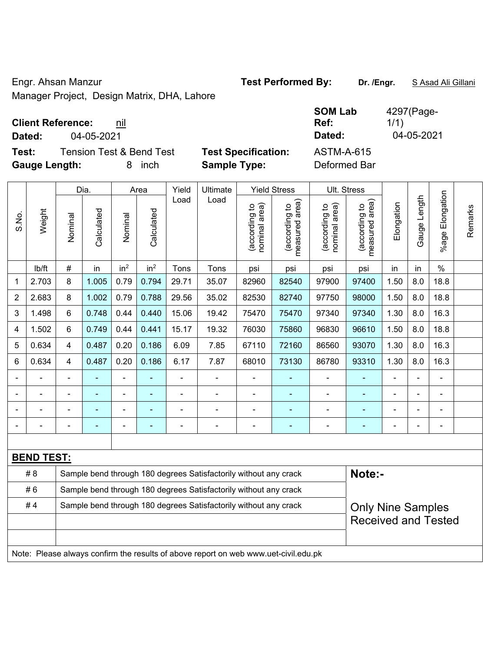Engr. Ahsan Manzur **Test Performed By:** Dr. /Engr. **SAsad Ali Gillani** Collection And Dr. /Engr. **SAsad Ali Gillani** Manager Project, Design Matrix, DHA, Lahore

## **Client Reference:** nil

**Test:** Tension Test & Bend Test **Test Specification:** ASTM-A-615 **Gauge Length:** 8 inch **Sample Type:** Deformed Bar

 $\blacksquare$ 

|                |                   |                                                                  | Dia.           |                          | Area            | Yield          | Ultimate                                                                            |                                | <b>Yield Stress</b>             |                                | Ult. Stress                     |                          |              |                       |         |
|----------------|-------------------|------------------------------------------------------------------|----------------|--------------------------|-----------------|----------------|-------------------------------------------------------------------------------------|--------------------------------|---------------------------------|--------------------------------|---------------------------------|--------------------------|--------------|-----------------------|---------|
| S.No.          | Weight            | Nominal                                                          | Calculated     | Nominal                  | Calculated      | Load           | Load                                                                                | nominal area)<br>(according to | (according to<br>measured area) | nominal area)<br>(according to | measured area)<br>(according to | Elongation               | Gauge Length | Elongation<br>$%$ age | Remarks |
|                | lb/ft             | #                                                                | in             | in <sup>2</sup>          | in <sup>2</sup> | Tons           | Tons                                                                                | psi                            | psi                             | psi                            | psi                             | in                       | in           | $\frac{0}{0}$         |         |
| 1              | 2.703             | 8                                                                | 1.005          | 0.79                     | 0.794           | 29.71          | 35.07                                                                               | 82960                          | 82540                           | 97900                          | 97400                           | 1.50                     | 8.0          | 18.8                  |         |
| $\overline{2}$ | 2.683             | 8                                                                | 1.002          | 0.79                     | 0.788           | 29.56          | 35.02                                                                               | 82530                          | 82740                           | 97750                          | 98000                           | 1.50                     | 8.0          | 18.8                  |         |
| 3              | 1.498             | 6                                                                | 0.748          | 0.44                     | 0.440           | 15.06          | 19.42                                                                               | 75470                          | 75470                           | 97340                          | 97340                           | 1.30                     | 8.0          | 16.3                  |         |
| 4              | 1.502             | 6                                                                | 0.749          | 0.44                     | 0.441           | 15.17          | 19.32                                                                               | 76030                          | 75860                           | 96830                          | 96610                           | 1.50                     | 8.0          | 18.8                  |         |
| 5              | 0.634             | $\overline{4}$                                                   | 0.487          | 0.20                     | 0.186           | 6.09           | 7.85                                                                                | 67110                          | 72160                           | 86560                          | 93070                           | 1.30                     | 8.0          | 16.3                  |         |
| 6              | 0.634             | $\overline{4}$                                                   | 0.487          | 0.20                     | 0.186           | 6.17           | 7.87                                                                                | 68010                          | 73130                           | 86780                          | 93310                           | 1.30                     | 8.0          | 16.3                  |         |
|                |                   |                                                                  |                | $\blacksquare$           |                 | $\overline{a}$ | ÷                                                                                   | $\blacksquare$                 |                                 | $\overline{a}$                 |                                 |                          |              |                       |         |
|                |                   | ÷,                                                               | $\blacksquare$ | $\blacksquare$           | $\blacksquare$  | ä,             | $\blacksquare$                                                                      | $\blacksquare$                 | $\blacksquare$                  | $\overline{\phantom{0}}$       | $\blacksquare$                  | $\blacksquare$           | ä,           | $\blacksquare$        |         |
|                |                   | ۰                                                                | ÷              | $\overline{\phantom{a}}$ |                 | $\overline{a}$ | ÷                                                                                   | $\blacksquare$                 |                                 | ÷                              | ÷,                              |                          |              | $\blacksquare$        |         |
|                | $\blacksquare$    | ۰                                                                | ÷              | $\blacksquare$           | ٠               | $\overline{a}$ | ÷                                                                                   | $\overline{\phantom{a}}$       | $\blacksquare$                  | ÷                              | $\blacksquare$                  | $\blacksquare$           |              | $\blacksquare$        |         |
|                |                   |                                                                  |                |                          |                 |                |                                                                                     |                                |                                 |                                |                                 |                          |              |                       |         |
|                | <b>BEND TEST:</b> |                                                                  |                |                          |                 |                |                                                                                     |                                |                                 |                                |                                 |                          |              |                       |         |
|                | # 8               |                                                                  |                |                          |                 |                | Sample bend through 180 degrees Satisfactorily without any crack                    |                                |                                 |                                | Note:-                          |                          |              |                       |         |
|                | #6                |                                                                  |                |                          |                 |                | Sample bend through 180 degrees Satisfactorily without any crack                    |                                |                                 |                                |                                 |                          |              |                       |         |
|                | #4                | Sample bend through 180 degrees Satisfactorily without any crack |                |                          |                 |                |                                                                                     |                                |                                 |                                |                                 | <b>Only Nine Samples</b> |              |                       |         |
|                |                   |                                                                  |                |                          |                 |                |                                                                                     |                                |                                 |                                | <b>Received and Tested</b>      |                          |              |                       |         |
|                |                   |                                                                  |                |                          |                 |                |                                                                                     |                                |                                 |                                |                                 |                          |              |                       |         |
|                |                   |                                                                  |                |                          |                 |                | Note: Please always confirm the results of above report on web www.uet-civil.edu.pk |                                |                                 |                                |                                 |                          |              |                       |         |

**SOM Lab Ref:**  4297(Page-1/1) **Dated:** 04-05-2021 **Dated:** 04-05-2021